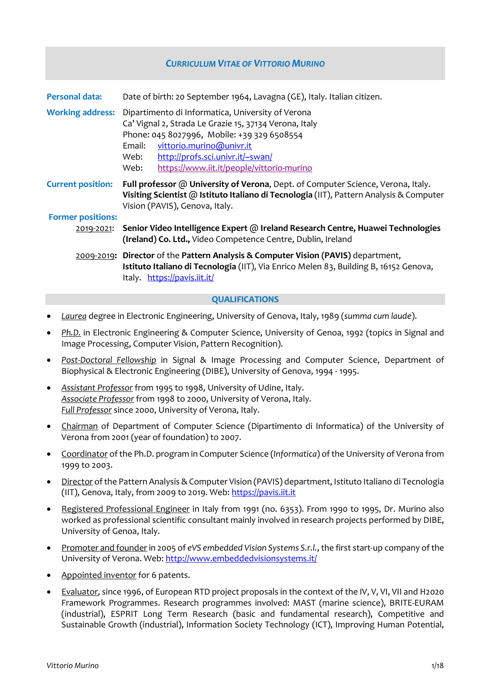# *CURRICULUM VITAE OF VITTORIO MURINO* **Personal data:** Date of birth: 20 September 1964, Lavagna (GE), Italy. Italian citizen. **Working address:** Dipartimento di Informatica, University of Verona Ca' Vignal 2, Strada Le Grazie 15, 37134 Verona, Italy Phone: 045 8027996, Mobile: +39 329 6508554 Email: [vittorio.murino@univr.it](mailto:vittorio.murino@univr.it) Web: [http://profs.sci.univr.it/~swan/](http://profs.sci.univr.it/%7Eswan/) Web: <https://www.iit.it/people/vittorio-murino> **Current position: Full professor** @ **University of Verona**, Dept. of Computer Science, Verona, Italy. **Visiting Scientist** @ **Istituto Italiano di Tecnologia** (IIT), Pattern Analysis & Computer Vision (PAVIS), Genova, Italy. **Former positions:** 2019-2021: **Senior Video Intelligence Expert** @ **Ireland Research Centre, Huawei Technologies (Ireland) Co. Ltd.,** Video Competence Centre, Dublin, Ireland 2009-2019**: Director** of the **Pattern Analysis & Computer Vision (PAVIS)** department, **Istituto Italiano di Tecnologia** (IIT), Via Enrico Melen 83, Building B, 16152 Genova, Italy. <https://pavis.iit.it/> **QUALIFICATIONS**

- *Laurea* degree in Electronic Engineering, University of Genova, Italy, 1989 (*summa cum laude*).
- *Ph.D.* in Electronic Engineering & Computer Science, University of Genoa, 1992 (topics in Signal and Image Processing, Computer Vision, Pattern Recognition).
- *Post-Doctoral Fellowship* in Signal & Image Processing and Computer Science, Department of Biophysical & Electronic Engineering (DIBE), University of Genova, 1994 - 1995.
- *Assistant Professor* from 1995 to 1998, University of Udine, Italy. *Associate Professor* from 1998 to 2000, University of Verona, Italy. *Full Professor* since 2000, University of Verona, Italy.
- Chairman of Department of Computer Science (Dipartimento di Informatica) of the University of Verona from 2001 (year of foundation) to 2007.
- Coordinator of the Ph.D. program in Computer Science (*Informatica*) of the University of Verona from 1999 to 2003.
- Director of the Pattern Analysis & Computer Vision (PAVIS) department, Istituto Italiano di Tecnologia (IIT), Genova, Italy, from 2009 to 2019. Web: [https://pavis.iit.it](https://pavis.iit.it/)
- Registered Professional Engineer in Italy from 1991 (no. 6353). From 1990 to 1995, Dr. Murino also worked as professional scientific consultant mainly involved in research projects performed by DIBE, University of Genoa, Italy.
- Promoter and founder in 2005 of *eVS embedded Vision Systems S.r.l.*, the first start-up company of the University of Verona. Web: http://www.embeddedvisionsystems.it/
- Appointed inventor for 6 patents.
- Evaluator, since 1996, of European RTD project proposals in the context of the IV, V, VI, VII and H2020 Framework Programmes. Research programmes involved: MAST (marine science), BRITE-EURAM (industrial), ESPRIT Long Term Research (basic and fundamental research), Competitive and Sustainable Growth (industrial), Information Society Technology (ICT), Improving Human Potential,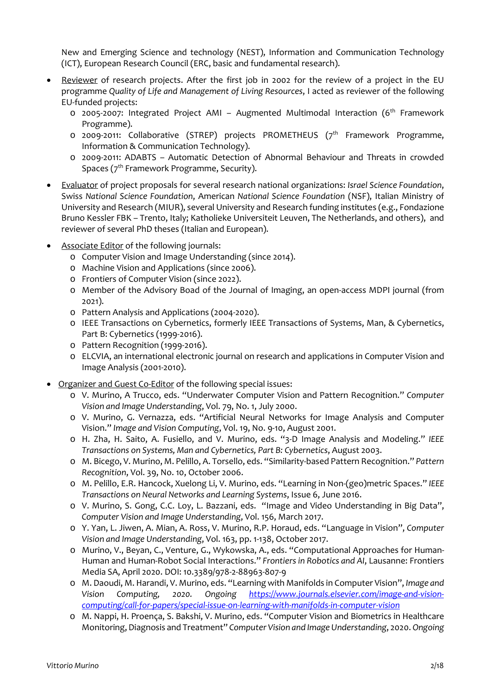New and Emerging Science and technology (NEST), Information and Communication Technology (ICT), European Research Council (ERC, basic and fundamental research).

- Reviewer of research projects. After the first job in 2002 for the review of a project in the EU programme *Quality of Life and Management of Living Resources*, I acted as reviewer of the following EU-funded projects:
	- $\circ$  2005-2007: Integrated Project AMI Augmented Multimodal Interaction (6<sup>th</sup> Framework Programme).
	- o 2009-2011: Collaborative (STREP) projects PROMETHEUS (7<sup>th</sup> Framework Programme, Information & Communication Technology).
	- o 2009-2011: ADABTS Automatic Detection of Abnormal Behaviour and Threats in crowded Spaces (7<sup>th</sup> Framework Programme, Security).
- Evaluator of project proposals for several research national organizations: *Israel Science Foundation*, Swiss *National Science Foundation*, American *National Science Foundation* (NSF), Italian Ministry of University and Research (MIUR), several University and Research funding institutes (e.g., Fondazione Bruno Kessler FBK – Trento, Italy; Katholieke Universiteit Leuven, The Netherlands, and others), and reviewer of several PhD theses (Italian and European).
- Associate Editor of the following journals:
	- o Computer Vision and Image Understanding (since 2014).
	- o Machine Vision and Applications (since 2006).
	- o Frontiers of Computer Vision (since 2022).
	- o Member of the Advisory Boad of the Journal of Imaging, an open-access MDPI journal (from 2021).
	- o Pattern Analysis and Applications (2004-2020).
	- o IEEE Transactions on Cybernetics, formerly IEEE Transactions of Systems, Man, & Cybernetics, Part B: Cybernetics (1999-2016).
	- o Pattern Recognition (1999-2016).
	- o ELCVIA, an international electronic journal on research and applications in Computer Vision and Image Analysis (2001-2010).
- Organizer and Guest Co-Editor of the following special issues:
	- o V. Murino, A Trucco, eds. "Underwater Computer Vision and Pattern Recognition." *Computer Vision and Image Understanding*, Vol. 79, No. 1, July 2000.
	- o V. Murino, G. Vernazza, eds. "Artificial Neural Networks for Image Analysis and Computer Vision." *Image and Vision Computing*, Vol. 19, No. 9-10, August 2001.
	- o H. Zha, H. Saito, A. Fusiello, and V. Murino, eds. "3-D Image Analysis and Modeling." *IEEE Transactions on Systems, Man and Cybernetics, Part B: Cybernetics*, August 2003.
	- o M. Bicego, V. Murino, M. Pelillo, A. Torsello, eds. "Similarity-based Pattern Recognition." *Pattern Recognition*, Vol. 39, No. 10, October 2006.
	- o M. Pelillo, E.R. Hancock, Xuelong Li, V. Murino, eds. "Learning in Non-(geo)metric Spaces." *IEEE Transactions on Neural Networks and Learning Systems*, Issue 6, June 2016.
	- o V. Murino, S. Gong, C.C. Loy, L. Bazzani, eds. "Image and Video Understanding in Big Data", *Computer Vision and Image Understanding*, Vol. 156, March 2017.
	- o Y. Yan, L. Jiwen, A. Mian, A. Ross, V. Murino, R.P. Horaud, eds. "Language in Vision", *Computer Vision and Image Understanding*, Vol. 163, pp. 1-138, October 2017.
	- o Murino, V., Beyan, C., Venture, G., Wykowska, A., eds. "Computational Approaches for Human-Human and Human-Robot Social Interactions." *Frontiers in Robotics and AI*, Lausanne: Frontiers Media SA, April 2020. DOI: 10.3389/978-2-88963-807-9
	- o M. Daoudi, M. Harandi, V. Murino, eds. "Learning with Manifolds in Computer Vision", *Image and Vision Computing, 2020. Ongoing [https://www.journals.elsevier.com/image-and-vision](https://www.journals.elsevier.com/image-and-vision-computing/call-for-papers/special-issue-on-learning-with-manifolds-in-computer-vision)[computing/call-for-papers/special-issue-on-learning-with-manifolds-in-computer-vision](https://www.journals.elsevier.com/image-and-vision-computing/call-for-papers/special-issue-on-learning-with-manifolds-in-computer-vision)*
	- o M. Nappi, H. Proença, S. Bakshi, V. Murino, eds. "Computer Vision and Biometrics in Healthcare Monitoring, Diagnosis and Treatment" *Computer Vision and Image Understanding*, 2020. *Ongoing*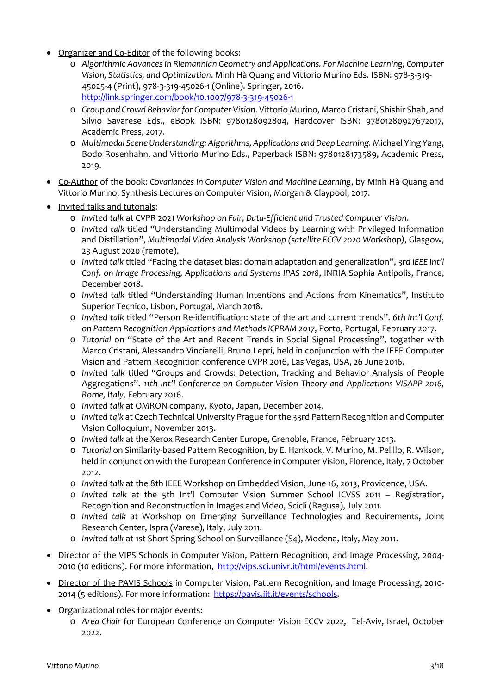- Organizer and Co-Editor of the following books:
	- o *Algorithmic Advances in Riemannian Geometry and Applications. For Machine Learning, Computer Vision, Statistics, and Optimization*. Minh Hà Quang and Vittorio Murino Eds. ISBN: 978-3-319- 45025-4 (Print), 978-3-319-45026-1 (Online). Springer, 2016. <http://link.springer.com/book/10.1007/978-3-319-45026-1>
	- o *Group and Crowd Behavior for Computer Vision*. Vittorio Murino, Marco Cristani, Shishir Shah, and Silvio Savarese Eds., eBook ISBN: 9780128092804, Hardcover ISBN: 97801280927672017, Academic Press, 2017.
	- o *Multimodal Scene Understanding: Algorithms, Applications and Deep Learning.* Michael Ying Yang, Bodo Rosenhahn, and Vittorio Murino Eds., Paperback ISBN: 9780128173589, Academic Press, 2019.
- Co-Author of the book: *Covariances in Computer Vision and Machine Learning*, by Minh Hà Quang and Vittorio Murino, Synthesis Lectures on Computer Vision, Morgan & Claypool, 2017.
- Invited talks and tutorials:
	- o *Invited talk* at CVPR 2021 *Workshop on Fair, Data-Efficient and Trusted Computer Vision*.
	- o *Invited talk* titled "Understanding Multimodal Videos by Learning with Privileged Information and Distillation", *Multimodal Video Analysis Workshop (satellite ECCV 2020 Workshop)*, Glasgow, 23 August 2020 (remote).
	- o *Invited talk* titled "Facing the dataset bias: domain adaptation and generalization", *3rd IEEE Int'l Conf. on Image Processing, Applications and Systems IPAS 2018*, INRIA Sophia Antipolis, France, December 2018.
	- o *Invited talk* titled "Understanding Human Intentions and Actions from Kinematics", Instituto Superior Tecnico, Lisbon, Portugal, March 2018.
	- o *Invited talk* titled "Person Re-identification: state of the art and current trends". *6th Int'l Conf. on Pattern Recognition Applications and Methods ICPRAM 2017*, Porto, Portugal, February 2017.
	- o *Tutorial* on "State of the Art and Recent Trends in Social Signal Processing", together with Marco Cristani, Alessandro Vinciarelli, Bruno Lepri, held in conjunction with the IEEE Computer Vision and Pattern Recognition conference CVPR 2016, Las Vegas, USA, 26 June 2016.
	- o *Invited talk* titled "Groups and Crowds: Detection, Tracking and Behavior Analysis of People Aggregations". *11th Int'l Conference on Computer Vision Theory and Applications VISAPP 2016, Rome, Italy,* February 2016.
	- o *Invited talk* at OMRON company, Kyoto, Japan, December 2014.
	- o *Invited talk* at Czech Technical University Prague for the 33rd Pattern Recognition and Computer Vision Colloquium, November 2013.
	- o *Invited talk* at the Xerox Research Center Europe, Grenoble, France, February 2013.
	- o *Tutorial* on Similarity-based Pattern Recognition, by E. Hankock, V. Murino, M. Pelillo, R. Wilson, held in conjunction with the European Conference in Computer Vision, Florence, Italy, 7 October 2012.
	- o *Invited talk* at the 8th IEEE Workshop on Embedded Vision, June 16, 2013, Providence, USA.
	- o *Invited talk* at the 5th Int'l Computer Vision Summer School ICVSS 2011 Registration, Recognition and Reconstruction in Images and Video, Scicli (Ragusa), July 2011.
	- o *Invited talk* at Workshop on Emerging Surveillance Technologies and Requirements, Joint Research Center, Ispra (Varese), Italy, July 2011.
	- o *Invited talk* at 1st Short Spring School on Surveillance (S4), Modena, Italy, May 2011.
- Director of the VIPS Schools in Computer Vision, Pattern Recognition, and Image Processing, 2004- 2010 (10 editions). For more information, [http://vips.sci.univr.it/html/events.html.](http://vips.sci.univr.it/html/events.html)
- Director of the PAVIS Schools in Computer Vision, Pattern Recognition, and Image Processing, 2010- 2014 (5 editions). For more information: [https://pavis.iit.it/events/schools.](https://pavis.iit.it/events/schools)
- Organizational roles for major events:
	- o *Area Chair* for European Conference on Computer Vision ECCV 2022, Tel-Aviv, Israel, October 2022.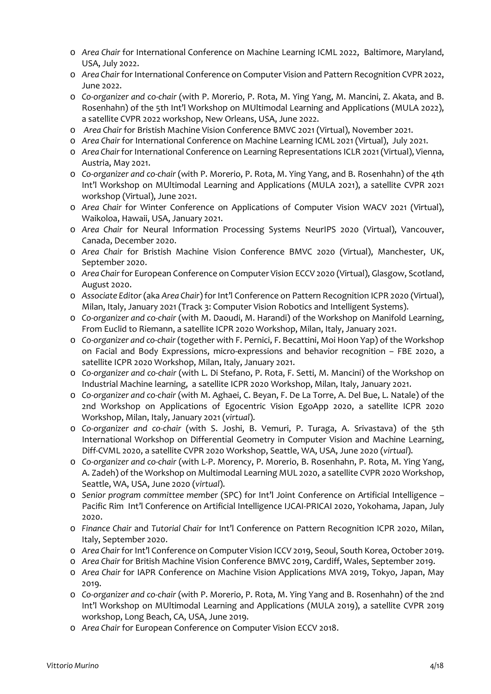- o *Area Chair* for International Conference on Machine Learning ICML 2022, Baltimore, Maryland, USA, July 2022.
- o *Area Chair*for International Conference on Computer Vision and Pattern Recognition CVPR 2022, June 2022.
- o *Co-organizer and co-chair* (with P. Morerio, P. Rota, M. Ying Yang, M. Mancini, Z. Akata, and B. Rosenhahn) of the 5th Int'l Workshop on MUltimodal Learning and Applications (MULA 2022), a satellite CVPR 2022 workshop, New Orleans, USA, June 2022.
- o *Area Chair* for Bristish Machine Vision Conference BMVC 2021 (Virtual), November 2021.
- o *Area Chair* for International Conference on Machine Learning ICML 2021 (Virtual), July 2021.
- o *Area Chair* for International Conference on Learning Representations ICLR 2021(Virtual), Vienna, Austria, May 2021.
- o *Co-organizer and co-chair* (with P. Morerio, P. Rota, M. Ying Yang, and B. Rosenhahn) of the 4th Int'l Workshop on MUltimodal Learning and Applications (MULA 2021), a satellite CVPR 2021 workshop (Virtual), June 2021.
- o *Area Chair* for Winter Conference on Applications of Computer Vision WACV 2021 (Virtual), Waikoloa, Hawaii, USA, January 2021.
- o *Area Chair* for Neural Information Processing Systems NeurIPS 2020 (Virtual), Vancouver, Canada, December 2020.
- o *Area Chair* for Bristish Machine Vision Conference BMVC 2020 (Virtual), Manchester, UK, September 2020.
- o *Area Chair*for European Conference on Computer Vision ECCV 2020 (Virtual), Glasgow, Scotland, August 2020.
- o *Associate Editor* (aka *Area Chair*) for Int'l Conference on Pattern Recognition ICPR 2020 (Virtual), Milan, Italy, January 2021 (Track 3: Computer Vision Robotics and Intelligent Systems).
- o *Co-organizer and co-chair* (with M. Daoudi, M. Harandi) of the Workshop on Manifold Learning, From Euclid to Riemann, a satellite ICPR 2020 Workshop, Milan, Italy, January 2021.
- o *Co-organizer and co-chair* (together with F. Pernici, F. Becattini, Moi Hoon Yap) of the Workshop on Facial and Body Expressions, micro-expressions and behavior recognition – FBE 2020, a satellite ICPR 2020 Workshop, Milan, Italy, January 2021.
- o *Co-organizer and co-chair* (with L. Di Stefano, P. Rota, F. Setti, M. Mancini) of the Workshop on Industrial Machine learning, a satellite ICPR 2020 Workshop, Milan, Italy, January 2021.
- o *Co-organizer and co-chair* (with M. Aghaei, C. Beyan, F. De La Torre, A. Del Bue, L. Natale) of the 2nd Workshop on Applications of Egocentric Vision EgoApp 2020, a satellite ICPR 2020 Workshop, Milan, Italy, January 2021 (*virtual*).
- o *Co-organizer and co-chair* (with S. Joshi, B. Vemuri, P. Turaga, A. Srivastava) of the 5th International Workshop on Differential Geometry in Computer Vision and Machine Learning, Diff-CVML 2020, a satellite CVPR 2020 Workshop, Seattle, WA, USA, June 2020 (*virtual*).
- o *Co-organizer and co-chair* (with L-P. Morency, P. Morerio, B. Rosenhahn, P. Rota, M. Ying Yang, A. Zadeh) of the Workshop on Multimodal Learning MUL 2020, a satellite CVPR 2020 Workshop, Seattle, WA, USA, June 2020 (*virtual*).
- o *Senior program committee member* (SPC) for Int'l Joint Conference on Artificial Intelligence Pacific Rim Int'l Conference on Artificial Intelligence IJCAI-PRICAI 2020, Yokohama, Japan, July 2020.
- o *Finance Chair* and *Tutorial Chair* for Int'l Conference on Pattern Recognition ICPR 2020, Milan, Italy, September 2020.
- o *Area Chair* for Int'l Conference on Computer Vision ICCV 2019, Seoul, South Korea, October 2019.
- o *Area Chair* for British Machine Vision Conference BMVC 2019, Cardiff, Wales, September 2019.
- o *Area Chair* for IAPR Conference on Machine Vision Applications MVA 2019, Tokyo, Japan, May 2019.
- o *Co-organizer and co-chair* (with P. Morerio, P. Rota, M. Ying Yang and B. Rosenhahn) of the 2nd Int'l Workshop on MUltimodal Learning and Applications (MULA 2019), a satellite CVPR 2019 workshop, Long Beach, CA, USA, June 2019.
- o *Area Chair* for European Conference on Computer Vision ECCV 2018.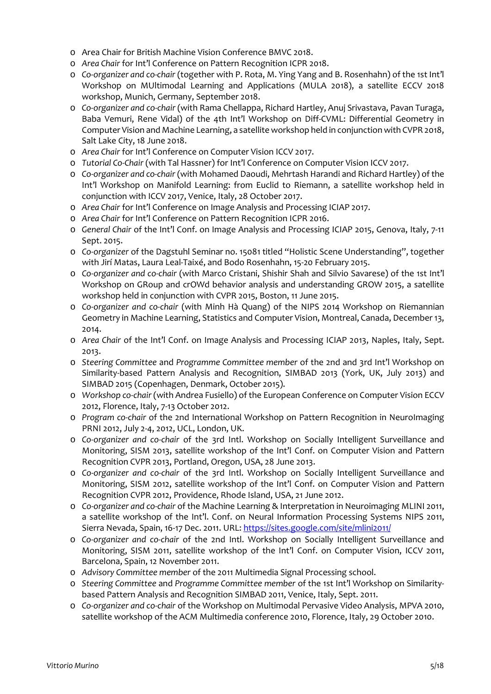- o Area Chair for British Machine Vision Conference BMVC 2018.
- o *Area Chair* for Int'l Conference on Pattern Recognition ICPR 2018.
- o *Co-organizer and co-chair* (together with P. Rota, M. Ying Yang and B. Rosenhahn) of the 1st Int'l Workshop on MUltimodal Learning and Applications (MULA 2018), a satellite ECCV 2018 workshop, Munich, Germany, September 2018.
- o *Co-organizer and co-chair* (with Rama Chellappa, Richard Hartley, Anuj Srivastava, Pavan Turaga, Baba Vemuri, Rene Vidal) of the 4th Int'l Workshop on Diff-CVML: Differential Geometry in Computer Vision and Machine Learning, a satellite workshop held in conjunction with CVPR 2018, Salt Lake City, 18 June 2018.
- o *Area Chair* for Int'l Conference on Computer Vision ICCV 2017.
- o *Tutorial Co-Chair* (with Tal Hassner) for Int'l Conference on Computer Vision ICCV 2017.
- o *Co-organizer and co-chair* (with Mohamed Daoudi, Mehrtash Harandi and Richard Hartley) of the Int'l Workshop on Manifold Learning: from Euclid to Riemann, a satellite workshop held in conjunction with ICCV 2017, Venice, Italy, 28 October 2017.
- o *Area Chair* for Int'l Conference on Image Analysis and Processing ICIAP 2017.
- o *Area Chair* for Int'l Conference on Pattern Recognition ICPR 2016.
- o *General Chair* of the Int'l Conf. on Image Analysis and Processing ICIAP 2015, Genova, Italy, 7-11 Sept. 2015.
- o *Co-organizer* of the Dagstuhl Seminar no. 15081 titled "Holistic Scene Understanding", together with Jirí Matas, Laura Leal-Taixé, and Bodo Rosenhahn, 15-20 February 2015.
- o *Co-organizer and co-chair* (with Marco Cristani, Shishir Shah and Silvio Savarese) of the 1st Int'l Workshop on GRoup and crOWd behavior analysis and understanding GROW 2015, a satellite workshop held in conjunction with CVPR 2015, Boston, 11 June 2015.
- o *Co-organizer and co-chair* (with Minh Hà Quang) of the NIPS 2014 Workshop on Riemannian Geometry in Machine Learning, Statistics and Computer Vision, Montreal, Canada, December 13, 2014.
- o *Area Chair* of the Int'l Conf. on Image Analysis and Processing ICIAP 2013, Naples, Italy, Sept. 2013.
- o *Steering Committee* and *Programme Committee member* of the 2nd and 3rd Int'l Workshop on Similarity-based Pattern Analysis and Recognition, SIMBAD 2013 (York, UK, July 2013) and SIMBAD 2015 (Copenhagen, Denmark, October 2015).
- o *Workshop co-chair* (with Andrea Fusiello) of the European Conference on Computer Vision ECCV 2012, Florence, Italy, 7-13 October 2012.
- o *Program co-chair* of the 2nd International Workshop on Pattern Recognition in NeuroImaging PRNI 2012, July 2-4, 2012, UCL, London, UK.
- o *Co-organizer and co-chair* of the 3rd Intl. Workshop on Socially Intelligent Surveillance and Monitoring, SISM 2013, satellite workshop of the Int'l Conf. on Computer Vision and Pattern Recognition CVPR 2013, Portland, Oregon, USA, 28 June 2013.
- o *Co-organizer and co-chair* of the 3rd Intl. Workshop on Socially Intelligent Surveillance and Monitoring, SISM 2012, satellite workshop of the Int'l Conf. on Computer Vision and Pattern Recognition CVPR 2012, Providence, Rhode Island, USA, 21 June 2012.
- o *Co-organizer and co-chair* of the Machine Learning & Interpretation in Neuroimaging MLINI 2011, a satellite workshop of the Int'l. Conf. on Neural Information Processing Systems NIPS 2011, Sierra Nevada, Spain, 16-17 Dec. 2011. URL[: https://sites.google.com/site/mlini2011/](https://sites.google.com/site/mlini2011/)
- o *Co-organizer and co-chair* of the 2nd Intl. Workshop on Socially Intelligent Surveillance and Monitoring, SISM 2011, satellite workshop of the Int'l Conf. on Computer Vision, ICCV 2011, Barcelona, Spain, 12 November 2011.
- o *Advisory Committee member* of the 2011 Multimedia Signal Processing school.
- o *Steering Committee* and *Programme Committee member* of the 1st Int'l Workshop on Similaritybased Pattern Analysis and Recognition SIMBAD 2011, Venice, Italy, Sept. 2011.
- o *Co-organizer and co-chair* of the Workshop on Multimodal Pervasive Video Analysis, MPVA 2010, satellite workshop of the ACM Multimedia conference 2010, Florence, Italy, 29 October 2010.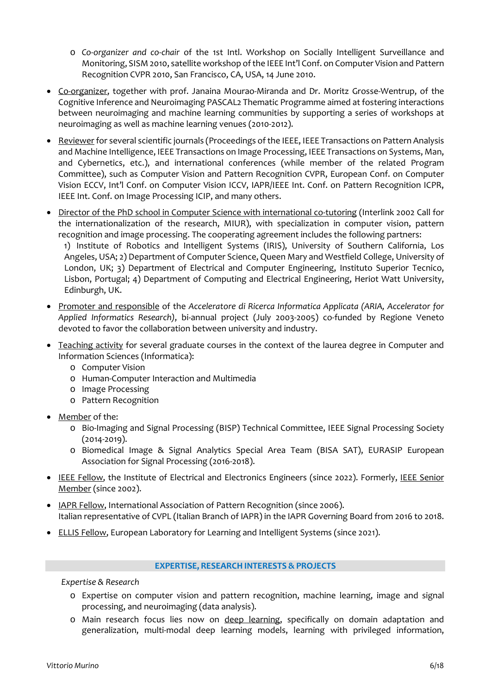- o *Co-organizer and co-chair* of the 1st Intl. Workshop on Socially Intelligent Surveillance and Monitoring, SISM 2010, satellite workshop of the IEEE Int'l Conf. on Computer Vision and Pattern Recognition CVPR 2010, San Francisco, CA, USA, 14 June 2010.
- Co-organizer, together with prof. Janaina Mourao-Miranda and Dr. Moritz Grosse-Wentrup, of the Cognitive Inference and Neuroimaging PASCAL2 Thematic Programme aimed at fostering interactions between neuroimaging and machine learning communities by supporting a series of workshops at neuroimaging as well as machine learning venues (2010-2012).
- Reviewer for several scientific journals (Proceedings of the IEEE, IEEE Transactions on Pattern Analysis and Machine Intelligence, IEEE Transactions on Image Processing, IEEE Transactions on Systems, Man, and Cybernetics, etc.), and international conferences (while member of the related Program Committee), such as Computer Vision and Pattern Recognition CVPR, European Conf. on Computer Vision ECCV, Int'l Conf. on Computer Vision ICCV, IAPR/IEEE Int. Conf. on Pattern Recognition ICPR, IEEE Int. Conf. on Image Processing ICIP, and many others.
- Director of the PhD school in Computer Science with international co-tutoring (Interlink 2002 Call for the internationalization of the research, MIUR), with specialization in computer vision, pattern recognition and image processing. The cooperating agreement includes the following partners:

1) Institute of Robotics and Intelligent Systems (IRIS), University of Southern California, Los Angeles, USA; 2) Department of Computer Science, Queen Mary and Westfield College, University of London, UK; 3) Department of Electrical and Computer Engineering, Instituto Superior Tecnico, Lisbon, Portugal; 4) Department of Computing and Electrical Engineering, Heriot Watt University, Edinburgh, UK.

- Promoter and responsible of the *Acceleratore di Ricerca Informatica Applicata (ARIA, Accelerator for Applied Informatics Research)*, bi-annual project (July 2003-2005) co-funded by Regione Veneto devoted to favor the collaboration between university and industry.
- Teaching activity for several graduate courses in the context of the laurea degree in Computer and Information Sciences (Informatica):
	- o Computer Vision
	- o Human-Computer Interaction and Multimedia
	- o Image Processing
	- o Pattern Recognition
- Member of the:
	- o Bio-Imaging and Signal Processing (BISP) Technical Committee, IEEE Signal Processing Society (2014-2019).
	- o Biomedical Image & Signal Analytics Special Area Team (BISA SAT), EURASIP European Association for Signal Processing (2016-2018).
- IEEE Fellow, the Institute of Electrical and Electronics Engineers (since 2022). Formerly, IEEE Senior Member (since 2002).
- IAPR Fellow, International Association of Pattern Recognition (since 2006). Italian representative of CVPL (Italian Branch of IAPR) in the IAPR Governing Board from 2016 to 2018.
- ELLIS Fellow, European Laboratory for Learning and Intelligent Systems (since 2021).

## **EXPERTISE, RESEARCHINTERESTS & PROJECTS**

*Expertise & Research*

- o Expertise on computer vision and pattern recognition, machine learning, image and signal processing, and neuroimaging (data analysis).
- o Main research focus lies now on deep learning, specifically on domain adaptation and generalization, multi-modal deep learning models, learning with privileged information,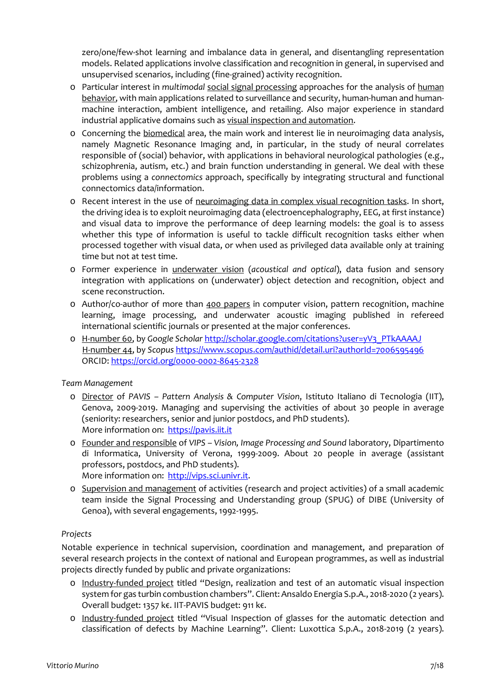zero/one/few-shot learning and imbalance data in general, and disentangling representation models. Related applications involve classification and recognition in general, in supervised and unsupervised scenarios, including (fine-grained) activity recognition.

- o Particular interest in *multimodal* social signal processing approaches for the analysis of human behavior, with main applications related to surveillance and security, human-human and humanmachine interaction, ambient intelligence, and retailing. Also major experience in standard industrial applicative domains such as visual inspection and automation.
- o Concerning the biomedical area, the main work and interest lie in neuroimaging data analysis, namely Magnetic Resonance Imaging and, in particular, in the study of neural correlates responsible of (social) behavior, with applications in behavioral neurological pathologies (e.g., schizophrenia, autism, etc.) and brain function understanding in general. We deal with these problems using a *connectomics* approach, specifically by integrating structural and functional connectomics data/information.
- o Recent interest in the use of neuroimaging data in complex visual recognition tasks. In short, the driving idea is to exploit neuroimaging data (electroencephalography, EEG, at first instance) and visual data to improve the performance of deep learning models: the goal is to assess whether this type of information is useful to tackle difficult recognition tasks either when processed together with visual data, or when used as privileged data available only at training time but not at test time.
- o Former experience in underwater vision (*acoustical and optical*), data fusion and sensory integration with applications on (underwater) object detection and recognition, object and scene reconstruction.
- o Author/co-author of more than 400 papers in computer vision, pattern recognition, machine learning, image processing, and underwater acoustic imaging published in refereed international scientific journals or presented at the major conferences.
- o H-number 60, by *Google Scholar* [http://scholar.google.com/citations?user=yV3\\_PTkAAAAJ](http://scholar.google.com/citations?user=yV3_PTkAAAAJ) H-number 44, by *Scopus* <https://www.scopus.com/authid/detail.uri?authorId=7006595496> ORCID:<https://orcid.org/0000-0002-8645-2328>

## *Team Management*

- o Director of *PAVIS – Pattern Analysis & Computer Vision*, Istituto Italiano di Tecnologia (IIT), Genova, 2009-2019. Managing and supervising the activities of about 30 people in average (seniority: researchers, senior and junior postdocs, and PhD students). More information on: [https://pavis.iit.it](https://pavis.iit.it/)
- o Founder and responsible of *VIPS – Vision, Image Processing and Sound* laboratory, Dipartimento di Informatica, University of Verona, 1999-2009. About 20 people in average (assistant professors, postdocs, and PhD students). More information on: [http://vips.sci.univr.it.](http://vips.sci.univr.it/)
- o Supervision and management of activities (research and project activities) of a small academic team inside the Signal Processing and Understanding group (SPUG) of DIBE (University of Genoa), with several engagements, 1992-1995.

## *Projects*

Notable experience in technical supervision, coordination and management, and preparation of several research projects in the context of national and European programmes, as well as industrial projects directly funded by public and private organizations:

- o Industry-funded project titled "Design, realization and test of an automatic visual inspection system for gas turbin combustion chambers". Client: Ansaldo Energia S.p.A., 2018-2020 (2 years). Overall budget: 1357 k€. IIT-PAVIS budget: 911 k€.
- o Industry-funded project titled "Visual Inspection of glasses for the automatic detection and classification of defects by Machine Learning". Client: Luxottica S.p.A., 2018-2019 (2 years).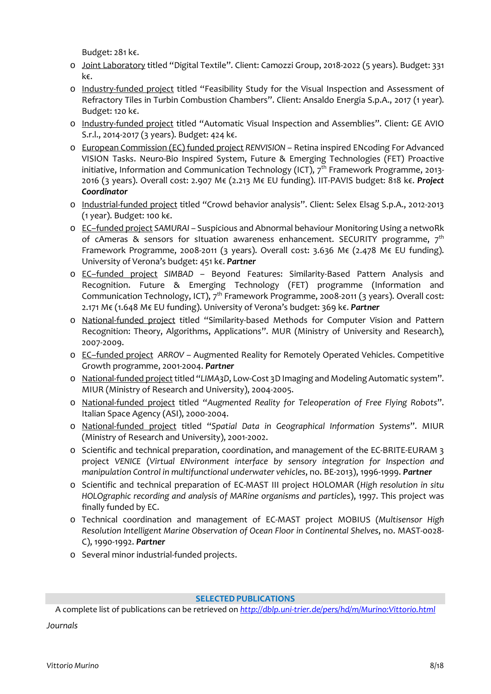Budget: 281 k€.

- o Joint Laboratory titled "Digital Textile". Client: Camozzi Group, 2018-2022 (5 years). Budget: 331 k€.
- o Industry-funded project titled "Feasibility Study for the Visual Inspection and Assessment of Refractory Tiles in Turbin Combustion Chambers". Client: Ansaldo Energia S.p.A., 2017 (1 year). Budget: 120 k€.
- o Industry-funded project titled "Automatic Visual Inspection and Assemblies". Client: GE AVIO S.r.l., 2014-2017 (3 years). Budget: 424 k€.
- o European Commission (EC) funded project *RENVISION* Retina inspired ENcoding For Advanced VISION Tasks. Neuro-Bio Inspired System, Future & Emerging Technologies (FET) Proactive initiative, Information and Communication Technology (ICT),  $7<sup>th</sup>$  Framework Programme, 2013-2016 (3 years). Overall cost: 2.907 M€ (2.213 M€ EU funding). IIT-PAVIS budget: 818 k€. *Project Coordinator*
- o Industrial-funded project titled "Crowd behavior analysis". Client: Selex Elsag S.p.A., 2012-2013 (1 year). Budget: 100 k€.
- o EC–funded project *SAMURAI* Suspicious and Abnormal behaviour Monitoring Using a netwoRk of cAmeras & sensors for situation awareness enhancement. SECURITY programme,  $7<sup>th</sup>$ Framework Programme, 2008-2011 (3 years). Overall cost: 3.636 M€ (2.478 M€ EU funding). University of Verona's budget: 451 k€. *Partner*
- o EC–funded project *SIMBAD* Beyond Features: Similarity-Based Pattern Analysis and Recognition. Future & Emerging Technology (FET) programme (Information and Communication Technology, ICT), 7<sup>th</sup> Framework Programme, 2008-2011 (3 years). Overall cost: 2.171 M€ (1.648 M€ EU funding). University of Verona's budget: 369 k€. *Partner*
- o National-funded project titled "Similarity-based Methods for Computer Vision and Pattern Recognition: Theory, Algorithms, Applications". MUR (Ministry of University and Research), 2007-2009.
- o EC–funded project *ARROV* Augmented Reality for Remotely Operated Vehicles. Competitive Growth programme, 2001-2004. *Partner*
- o National-funded project titled "LIMA3D, Low-Cost 3D Imaging and Modeling Automatic system". MIUR (Ministry of Research and University), 2004-2005.
- o National-funded project titled "*Augmented Reality for Teleoperation of Free Flying Robots*". Italian Space Agency (ASI), 2000-2004.
- o National-funded project titled "*Spatial Data in Geographical Information Systems*". MIUR (Ministry of Research and University), 2001-2002.
- o Scientific and technical preparation, coordination, and management of the EC-BRITE-EURAM 3 project *VENICE* (*Virtual ENvironment interface by sensory integration for Inspection and manipulation Control in multifunctional underwater vehicles*, no. BE-2013), 1996-1999. *Partner*
- o Scientific and technical preparation of EC-MAST III project HOLOMAR (*High resolution in situ HOLOgraphic recording and analysis of MARine organisms and particle*s), 1997. This project was finally funded by EC.
- o Technical coordination and management of EC-MAST project MOBIUS (*Multisensor High Resolution Intelligent Marine Observation of Ocean Floor in Continental Shelves*, no. MAST-0028- C), 1990-1992. *Partner*
- o Several minor industrial-funded projects.

### **SELECTED PUBLICATIONS**

A complete list of publications can be retrieved on *<http://dblp.uni-trier.de/pers/hd/m/Murino:Vittorio.html>*

*Journals*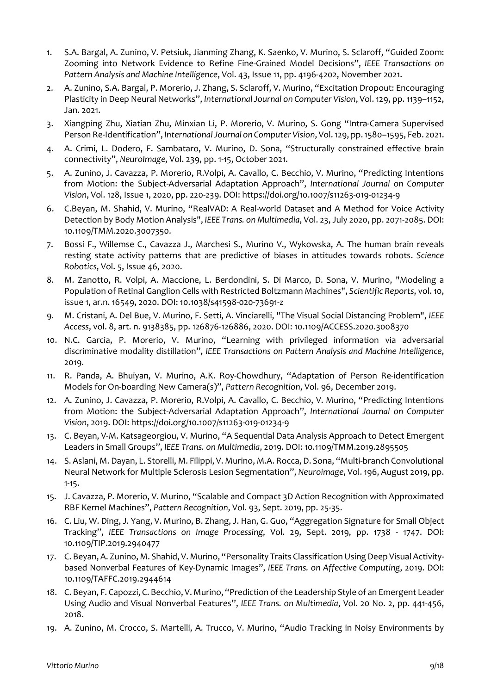- 1. S.A. Bargal, A. Zunino, V. Petsiuk, Jianming Zhang, K. Saenko, V. Murino, S. Sclaroff, "Guided Zoom: Zooming into Network Evidence to Refine Fine-Grained Model Decisions", *IEEE Transactions on Pattern Analysis and Machine Intelligence*, Vol. 43, Issue 11, pp. 4196-4202, November 2021.
- 2. A. Zunino, S.A. Bargal, P. Morerio, J. Zhang, S. Sclaroff, V. Murino, "Excitation Dropout: Encouraging Plasticity in Deep Neural Networks", *International Journal on Computer Vision*, Vol. 129, pp. 1139–1152, Jan. 2021.
- 3. Xiangping Zhu, Xiatian Zhu, Minxian Li, P. Morerio, V. Murino, S. Gong "Intra-Camera Supervised Person Re-Identification", *International Journal on Computer Vision*, Vol. 129, pp. 1580–1595, Feb. 2021.
- 4. A. Crimi, L. Dodero, F. Sambataro, V. Murino, D. Sona, "Structurally constrained effective brain connectivity", *NeuroImage*, Vol. 239, pp. 1-15, October 2021.
- 5. A. Zunino, J. Cavazza, P. Morerio, R.Volpi, A. Cavallo, C. Becchio, V. Murino, "Predicting Intentions from Motion: the Subject-Adversarial Adaptation Approach", *International Journal on Computer Vision*, Vol. 128, Issue 1, 2020, pp. 220-239. DOI: https://doi.org/10.1007/s11263-019-01234-9
- 6. C.Beyan, M. Shahid, V. Murino, "RealVAD: A Real-world Dataset and A Method for Voice Activity Detection by Body Motion Analysis", *IEEE Trans. on Multimedia*, Vol. 23, July 2020, pp. 2071-2085. DOI: 10.1109/TMM.2020.3007350.
- 7. Bossi F., Willemse C., Cavazza J., Marchesi S., Murino V., Wykowska, A. The human brain reveals resting state activity patterns that are predictive of biases in attitudes towards robots. *Science Robotics*, Vol. 5, Issue 46, 2020.
- 8. M. Zanotto, R. Volpi, A. Maccione, L. Berdondini, S. Di Marco, D. Sona, V. Murino, "Modeling a Population of Retinal Ganglion Cells with Restricted Boltzmann Machines", *Scientific Reports*, vol. 10, issue 1, ar.n. 16549, 2020. DOI: 10.1038/s41598-020-73691-z
- 9. M. Cristani, A. Del Bue, V. Murino, F. Setti, A. Vinciarelli, "The Visual Social Distancing Problem", *IEEE Access*, vol. 8, art. n. 9138385, pp. 126876-126886, 2020. DOI: 10.1109/ACCESS.2020.3008370
- 10. N.C. Garcia, P. Morerio, V. Murino, "Learning with privileged information via adversarial discriminative modality distillation", *IEEE Transactions on Pattern Analysis and Machine Intelligence*, 2019.
- 11. R. Panda, A. Bhuiyan, V. Murino, A.K. Roy-Chowdhury, "Adaptation of Person Re-identification Models for On-boarding New Camera(s)", *Pattern Recognition*, Vol. 96, December 2019.
- 12. A. Zunino, J. Cavazza, P. Morerio, R.Volpi, A. Cavallo, C. Becchio, V. Murino, "Predicting Intentions from Motion: the Subject-Adversarial Adaptation Approach", *International Journal on Computer Vision*, 2019. DOI: https://doi.org/10.1007/s11263-019-01234-9
- 13. C. Beyan, V-M. Katsageorgiou, V. Murino, "A Sequential Data Analysis Approach to Detect Emergent Leaders in Small Groups", *IEEE Trans. on Multimedia*, 2019. DOI: 10.1109/TMM.2019.2895505
- 14. S. Aslani, M. Dayan, L. Storelli, M. Filippi, V. Murino, M.A. Rocca, D. Sona, "Multi-branch Convolutional Neural Network for Multiple Sclerosis Lesion Segmentation", *Neuroimage*, Vol. 196, August 2019, pp. 1-15.
- 15. J. Cavazza, P. Morerio, V. Murino, "Scalable and Compact 3D Action Recognition with Approximated RBF Kernel Machines", *Pattern Recognition*, Vol. 93, Sept. 2019, pp. 25-35.
- 16. C. Liu, W. Ding, J. Yang, V. Murino, B. Zhang, J. Han, G. Guo, "Aggregation Signature for Small Object Tracking", *IEEE Transactions on Image Processing*, Vol. 29, Sept. 2019, pp. 1738 - 1747. DOI: 10.1109/TIP.2019.2940477
- 17. C. Beyan, A. Zunino, M. Shahid, V. Murino, "Personality Traits Classification Using Deep Visual Activitybased Nonverbal Features of Key-Dynamic Images", *IEEE Trans. on Affective Computing*, 2019. DOI: 10.1109/TAFFC.2019.2944614
- 18. C. Beyan, F. Capozzi, C. Becchio, V. Murino, "Prediction of the Leadership Style of an Emergent Leader Using Audio and Visual Nonverbal Features", *IEEE Trans. on Multimedia*, Vol. 20 No. 2, pp. 441-456, 2018.
- 19. A. Zunino, M. Crocco, S. Martelli, A. Trucco, V. Murino, "Audio Tracking in Noisy Environments by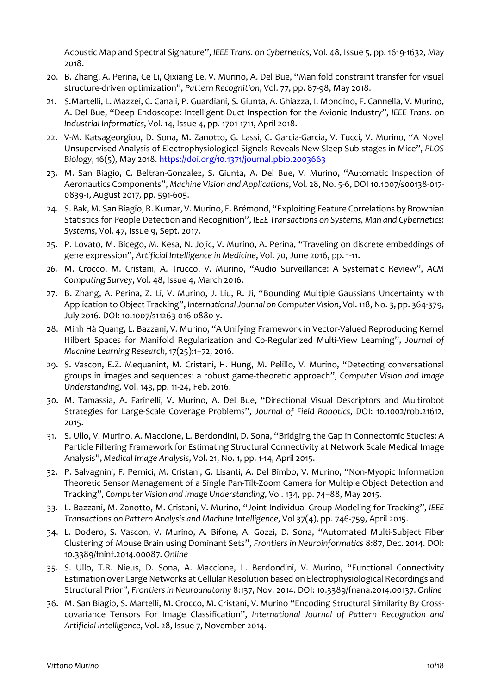Acoustic Map and Spectral Signature", *IEEE Trans. on Cybernetics,* Vol. 48, Issue 5, pp. 1619-1632, May 2018.

- 20. B. Zhang, A. Perina, Ce Li, Qixiang Le, V. Murino, A. Del Bue, "Manifold constraint transfer for visual structure-driven optimization", *Pattern Recognition*, Vol. 77, pp. 87-98, May 2018.
- 21. S.Martelli, L. Mazzei, C. Canali, P. Guardiani, S. Giunta, A. Ghiazza, I. Mondino, F. Cannella, V. Murino, A. Del Bue, "Deep Endoscope: Intelligent Duct Inspection for the Avionic Industry", *IEEE Trans. on Industrial Informatics*, Vol. 14, Issue 4, pp. 1701-1711, April 2018.
- 22. V-M. Katsageorgiou, D. Sona, M. Zanotto, G. Lassi, C. Garcia-Garcia, V. Tucci, V. Murino, "A Novel Unsupervised Analysis of Electrophysiological Signals Reveals New Sleep Sub-stages in Mice", *PLOS Biology*, 16(5), May 2018.<https://doi.org/10.1371/journal.pbio.2003663>
- 23. M. San Biagio, C. Beltran-Gonzalez, S. Giunta, A. Del Bue, V. Murino, "Automatic Inspection of Aeronautics Components", *Machine Vision and Applications*, Vol. 28, No. 5-6, DOI 10.1007/s00138-017- 0839-1, August 2017, pp. 591-605.
- 24. S. Bak, M. San Biagio, R. Kumar, V. Murino, F. Brémond, "Exploiting Feature Correlations by Brownian Statistics for People Detection and Recognition", *IEEE Transactions on Systems, Man and Cybernetics: Systems*, Vol. 47, Issue 9, Sept. 2017.
- 25. P. Lovato, M. Bicego, M. Kesa, N. Jojic, V. Murino, A. Perina, "Traveling on discrete embeddings of gene expression", *Artificial Intelligence in Medicine*, Vol. 70, June 2016, pp. 1-11.
- *26.* M. Crocco, M. Cristani, A. Trucco, V. Murino, "Audio Surveillance: A Systematic Review", *ACM Computing Survey*, Vol. 48, Issue 4, March 2016.
- 27. B. Zhang, A. Perina, Z. Li, V. Murino, J. Liu, R. Ji, "Bounding Multiple Gaussians Uncertainty with Application to Object Tracking", *International Journal on Computer Vision*, Vol. 118, No. 3, pp. 364-379, July 2016. DOI: 10.1007/s11263-016-0880-y.
- 28. Minh Hà Quang, L. Bazzani, V. Murino, "A Unifying Framework in Vector-Valued Reproducing Kernel Hilbert Spaces for Manifold Regularization and Co-Regularized Multi-View Learning", *Journal of Machine Learning Research*, 17(25):1−72, 2016.
- 29. S. Vascon, E.Z. Mequanint, M. Cristani, H. Hung, M. Pelillo, V. Murino, "Detecting conversational groups in images and sequences: a robust game-theoretic approach", *Computer Vision and Image Understanding,* Vol. 143, pp. 11-24, Feb. 2016.
- 30. M. Tamassia, A. Farinelli, V. Murino, A. Del Bue, "Directional Visual Descriptors and Multirobot Strategies for Large-Scale Coverage Problems", *Journal of Field Robotics*, DOI: 10.1002/rob.21612, 2015.
- 31. S. Ullo, V. Murino, A. Maccione, L. Berdondini, D. Sona, "Bridging the Gap in Connectomic Studies: A Particle Filtering Framework for Estimating Structural Connectivity at Network Scale Medical Image Analysis", *Medical Image Analysis*, Vol. 21, No. 1, pp. 1-14, April 2015.
- 32. P. Salvagnini, F. Pernici, M. Cristani, G. Lisanti, A. Del Bimbo, V. Murino, "Non-Myopic Information Theoretic Sensor Management of a Single Pan-Tilt-Zoom Camera for Multiple Object Detection and Tracking", *Computer Vision and Image Understanding*, Vol. 134, pp. 74–88, May 2015.
- 33. L. Bazzani, M. Zanotto, M. Cristani, V. Murino, "Joint Individual-Group Modeling for Tracking", *IEEE Transactions on Pattern Analysis and Machine Intelligence*, Vol 37(4), pp. 746-759, April 2015.
- 34. L. Dodero, S. Vascon, V. Murino, A. Bifone, A. Gozzi, D. Sona, "Automated Multi-Subject Fiber Clustering of Mouse Brain using Dominant Sets", *Frontiers in Neuroinformatics* 8:87, Dec. 2014. DOI: 10.3389/fninf.2014.00087. *Online*
- 35. S. Ullo, T.R. Nieus, D. Sona, A. Maccione, L. Berdondini, V. Murino, "Functional Connectivity Estimation over Large Networks at Cellular Resolution based on Electrophysiological Recordings and Structural Prior", *Frontiers in Neuroanatomy* 8:137, Nov. 2014. DOI: 10.3389/fnana.2014.00137. *Online*
- 36. M. San Biagio, S. Martelli, M. Crocco, M. Cristani, V. Murino "Encoding Structural Similarity By Crosscovariance Tensors For Image Classification", *International Journal of Pattern Recognition and Artificial Intelligence*, Vol. 28, Issue 7, November 2014.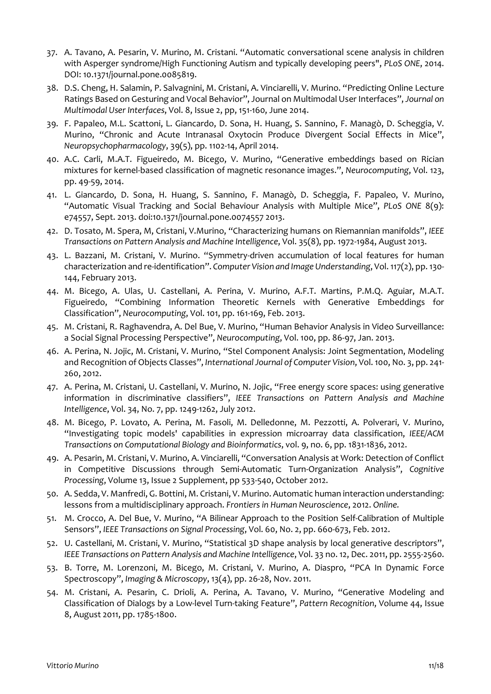- 37. A. Tavano, A. Pesarin, V. Murino, M. Cristani. "Automatic conversational scene analysis in children with Asperger syndrome/High Functioning Autism and typically developing peers", *PLoS ONE*, 2014. DOI: 10.1371/journal.pone.0085819.
- 38. D.S. Cheng, H. Salamin, P. Salvagnini, M. Cristani, A. Vinciarelli, V. Murino. "Predicting Online Lecture Ratings Based on Gesturing and Vocal Behavior", Journal on Multimodal User Interfaces", *Journal on Multimodal User Interfaces*, Vol. 8, Issue 2, pp, 151-160, June 2014.
- 39. F. Papaleo, M.L. Scattoni, L. Giancardo, D. Sona, H. Huang, S. Sannino, F. Managò, D. Scheggia, V. Murino, "Chronic and Acute Intranasal Oxytocin Produce Divergent Social Effects in Mice", *Neuropsychopharmacology*, 39(5), pp. 1102-14, April 2014.
- 40. A.C. Carli, M.A.T. Figueiredo, M. Bicego, V. Murino, "Generative embeddings based on Rician mixtures for kernel-based classification of magnetic resonance images.", *Neurocomputing*, Vol. 123, pp. 49-59, 2014.
- 41. L. Giancardo, D. Sona, H. Huang, S. Sannino, F. Managò, D. Scheggia, F. Papaleo, V. Murino, "Automatic Visual Tracking and Social Behaviour Analysis with Multiple Mice", *PLoS ONE* 8(9): e74557, Sept. 2013. doi:10.1371/journal.pone.0074557 2013.
- 42. D. Tosato, M. Spera, M, Cristani, V.Murino, "Characterizing humans on Riemannian manifolds", *IEEE Transactions on Pattern Analysis and Machine Intelligence*, Vol. 35(8), pp. 1972-1984, August 2013.
- 43. L. Bazzani, M. Cristani, V. Murino. "Symmetry-driven accumulation of local features for human characterization and re-identification". *Computer Vision and Image Understanding*, Vol. 117(2), pp. 130- 144, February 2013.
- 44. M. Bicego, A. Ulas, U. Castellani, A. Perina, V. Murino, A.F.T. Martins, P.M.Q. Aguiar, M.A.T. Figueiredo, "Combining Information Theoretic Kernels with Generative Embeddings for Classification", *Neurocomputing*, Vol. 101, pp. 161-169, Feb. 2013.
- 45. M. Cristani, R. Raghavendra, A. Del Bue, V. Murino, "Human Behavior Analysis in Video Surveillance: a Social Signal Processing Perspective", *Neurocomputing*, Vol. 100, pp. 86-97, Jan. 2013.
- 46. A. Perina, N. Jojic, M. Cristani, V. Murino, "Stel Component Analysis: Joint Segmentation, Modeling and Recognition of Objects Classes", *International Journal of Computer Vision*, Vol. 100, No. 3, pp. 241- 260, 2012.
- 47. A. Perina, M. Cristani, U. Castellani, V. Murino, N. Jojic, "Free energy score spaces: using generative information in discriminative classifiers", *IEEE Transactions on Pattern Analysis and Machine Intelligence*, Vol. 34, No. 7, pp. 1249-1262, July 2012.
- 48. M. Bicego, P. Lovato, A. Perina, M. Fasoli, M. Delledonne, M. Pezzotti, A. Polverari, V. Murino, "Investigating topic models' capabilities in expression microarray data classification, *IEEE/ACM Transactions on Computational Biology and Bioinformatics*, vol. 9, no. 6, pp. 1831-1836, 2012.
- 49. A. Pesarin, M. Cristani, V. Murino, A. Vinciarelli, "Conversation Analysis at Work: Detection of Conflict in Competitive Discussions through Semi-Automatic Turn-Organization Analysis", *Cognitive Processing*, Volume 13, Issue 2 Supplement, pp 533-540, October 2012.
- 50. A. Sedda, V. Manfredi, G. Bottini, M. Cristani, V. Murino. Automatic human interaction understanding: lessons from a multidisciplinary approach. *Frontiers in Human Neuroscience*, 2012. *Online.*
- 51. M. Crocco, A. Del Bue, V. Murino, "A Bilinear Approach to the Position Self-Calibration of Multiple Sensors", *IEEE Transactions on Signal Processing*, Vol. 60, No. 2, pp. 660-673, Feb. 2012.
- 52. U. Castellani, M. Cristani, V. Murino, "Statistical 3D shape analysis by local generative descriptors", *IEEE Transactions on Pattern Analysis and Machine Intelligence*, Vol. 33 no. 12, Dec. 2011, pp. 2555-2560.
- 53. B. Torre, M. Lorenzoni, M. Bicego, M. Cristani, V. Murino, A. Diaspro, "PCA In Dynamic Force Spectroscopy", *Imaging & Microscopy*, 13(4), pp. 26-28, Nov. 2011.
- 54. M. Cristani, A. Pesarin, C. Drioli, A. Perina, A. Tavano, V. Murino, "Generative Modeling and Classification of Dialogs by a Low-level Turn-taking Feature", *Pattern Recognition*, Volume 44, Issue 8, August 2011, pp. 1785-1800.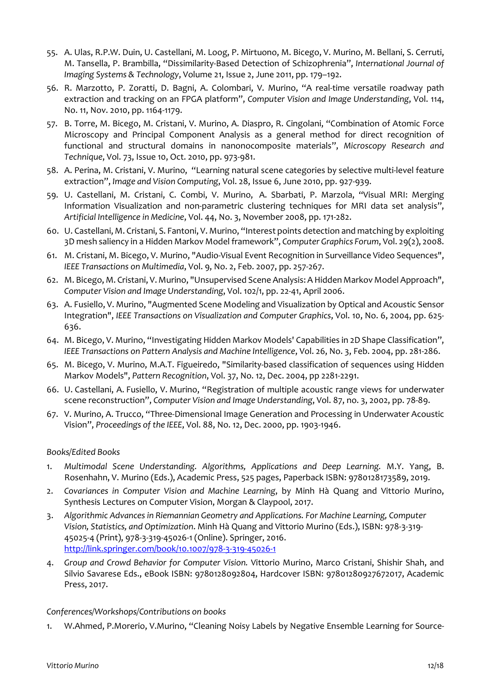- 55. A. Ulas, R.P.W. Duin, U. Castellani, M. Loog, P. Mirtuono, M. Bicego, V. Murino, M. Bellani, S. Cerruti, M. Tansella, P. Brambilla, "Dissimilarity-Based Detection of Schizophrenia", *International Journal of Imaging Systems & Technology*, Volume 21, Issue 2, June 2011, pp. 179–192.
- 56. R. Marzotto, P. Zoratti, D. Bagni, A. Colombari, V. Murino, "A real-time versatile roadway path extraction and tracking on an FPGA platform", *Computer Vision and Image Understanding*, Vol. 114, No. 11, Nov. 2010, pp. 1164-1179.
- 57. B. Torre, M. Bicego, M. Cristani, V. Murino, A. Diaspro, R. Cingolani, "Combination of Atomic Force Microscopy and Principal Component Analysis as a general method for direct recognition of functional and structural domains in nanonocomposite materials", *Microscopy Research and Technique*, Vol. 73, Issue 10, Oct. 2010, pp. 973-981.
- 58. A. Perina, M. Cristani, V. Murino, "Learning natural scene categories by selective multi-level feature extraction", *Image and Vision Computing*, Vol. 28, Issue 6, June 2010, pp. 927-939.
- 59. U. Castellani, M. Cristani, C. Combi, V. Murino, A. Sbarbati, P. Marzola, "Visual MRI: Merging Information Visualization and non-parametric clustering techniques for MRI data set analysis", *Artificial Intelligence in Medicine*, Vol. 44, No. 3, November 2008, pp. 171-282.
- 60. U. Castellani, M. Cristani, S. Fantoni, V. Murino, "Interest points detection and matching by exploiting 3D mesh saliency in a Hidden Markov Model framework", *Computer Graphics Forum*, Vol. 29(2), 2008.
- 61. M. Cristani, M. Bicego, V. Murino, "Audio-Visual Event Recognition in Surveillance Video Sequences", *IEEE Transactions on Multimedia*, Vol. 9, No. 2, Feb. 2007, pp. 257-267.
- 62. M. Bicego, M. Cristani, V. Murino, "Unsupervised Scene Analysis: A Hidden Markov Model Approach", *Computer Vision and Image Understanding*, Vol. 102/1, pp. 22-41, April 2006.
- 63. A. Fusiello, V. Murino, "Augmented Scene Modeling and Visualization by Optical and Acoustic Sensor Integration", *IEEE Transactions on Visualization and Computer Graphics*, Vol. 10, No. 6, 2004, pp. 625- 636.
- 64. M. Bicego, V. Murino, "Investigating Hidden Markov Models' Capabilities in 2D Shape Classification", *IEEE Transactions on Pattern Analysis and Machine Intelligence*, Vol. 26, No. 3, Feb. 2004, pp. 281-286.
- 65. M. Bicego, [V. Murino,](http://www.sci.univr.it/%7Eswan) [M.A.T. Figueiredo,](http://red.lx.it.pt/%7Emtf/) "Similarity-based classification of sequences using Hidden Markov Models", *Pattern Recognition*, Vol. 37, No. 12, Dec. 2004, pp 2281-2291.
- 66. U. Castellani, A. Fusiello, V. Murino, "Registration of multiple acoustic range views for underwater scene reconstruction", *Computer Vision and Image Understanding*, Vol. 87, no. 3, 2002, pp. 78-89.
- 67. V. Murino, A. Trucco, "Three-Dimensional Image Generation and Processing in Underwater Acoustic Vision", *Proceedings of the IEEE*, Vol. 88, No. 12, Dec. 2000, pp. 1903-1946.

## *Books/Edited Books*

- 1. *Multimodal Scene Understanding. Algorithms, Applications and Deep Learning.* M.Y. Yang, B. Rosenhahn, V. Murino (Eds.), Academic Press, 525 pages, Paperback ISBN: 9780128173589, 2019.
- 2. *Covariances in Computer Vision and Machine Learning*, by Minh Hà Quang and Vittorio Murino, Synthesis Lectures on Computer Vision, Morgan & Claypool, 2017.
- 3. *Algorithmic Advances in Riemannian Geometry and Applications. For Machine Learning, Computer Vision, Statistics, and Optimization*. Minh Hà Quang and Vittorio Murino (Eds.), ISBN: 978-3-319- 45025-4 (Print), 978-3-319-45026-1 (Online). Springer, 2016. <http://link.springer.com/book/10.1007/978-3-319-45026-1>
- 4. *Group and Crowd Behavior for Computer Vision.* Vittorio Murino, Marco Cristani, Shishir Shah, and Silvio Savarese Eds., eBook ISBN: 9780128092804, Hardcover ISBN: 97801280927672017, Academic Press, 2017.

## *Conferences/Workshops/Contributions on books*

1. W.Ahmed, P.Morerio, V.Murino, "Cleaning Noisy Labels by Negative Ensemble Learning for Source-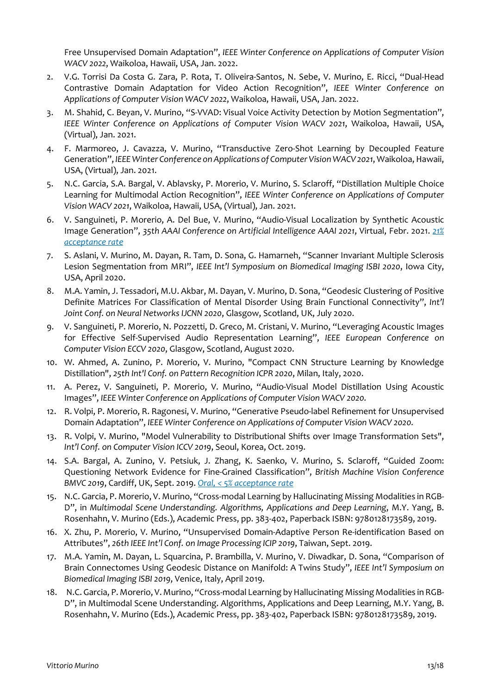Free Unsupervised Domain Adaptation", *IEEE Winter Conference on Applications of Computer Vision WACV 2022*, Waikoloa, Hawaii, USA, Jan. 2022.

- 2. V.G. Torrisi Da Costa G. Zara, P. Rota, T. Oliveira-Santos, N. Sebe, V. Murino, E. Ricci, "Dual-Head Contrastive Domain Adaptation for Video Action Recognition", *IEEE Winter Conference on Applications of Computer Vision WACV 2022*, Waikoloa, Hawaii, USA, Jan. 2022.
- 3. M. Shahid, C. Beyan, V. Murino, "S-VVAD: Visual Voice Activity Detection by Motion Segmentation", *IEEE Winter Conference on Applications of Computer Vision WACV 2021*, Waikoloa, Hawaii, USA, (Virtual), Jan. 2021.
- 4. F. Marmoreo, J. Cavazza, V. Murino, "Transductive Zero-Shot Learning by Decoupled Feature Generation", *IEEEWinter Conference on Applications of Computer Vision WACV 2021*, Waikoloa, Hawaii, USA, (Virtual), Jan. 2021.
- 5. N.C. Garcia, S.A. Bargal, V. Ablavsky, P. Morerio, V. Murino, S. Sclaroff, "Distillation Multiple Choice Learning for Multimodal Action Recognition", *IEEE Winter Conference on Applications of Computer Vision WACV 2021*, Waikoloa, Hawaii, USA, (Virtual), Jan. 2021.
- 6. V. Sanguineti, P. Morerio, A. Del Bue, V. Murino, "Audio-Visual Localization by Synthetic Acoustic Image Generation", *35th AAAI Conference on Artificial Intelligence AAAI 2021*, Virtual, Febr. 2021. *21% acceptance rate*
- 7. S. Aslani, V. Murino, M. Dayan, R. Tam, D. Sona, G. Hamarneh, "Scanner Invariant Multiple Sclerosis Lesion Segmentation from MRI", *IEEE Int'l Symposium on Biomedical Imaging ISBI 2020*, Iowa City, USA, April 2020.
- 8. M.A. Yamin, J. Tessadori, M.U. Akbar, M. Dayan, V. Murino, D. Sona, "Geodesic Clustering of Positive Definite Matrices For Classification of Mental Disorder Using Brain Functional Connectivity", *Int'l Joint Conf. on Neural Networks IJCNN 2020*, Glasgow, Scotland, UK, July 2020.
- 9. V. Sanguineti, P. Morerio, N. Pozzetti, D. Greco, M. Cristani, V. Murino, "Leveraging Acoustic Images for Effective Self-Supervised Audio Representation Learning", *IEEE European Conference on Computer Vision ECCV 2020*, Glasgow, Scotland, August 2020.
- 10. W. Ahmed, A. Zunino, P. Morerio, V. Murino, "Compact CNN Structure Learning by Knowledge Distillation", *25th Int'l Conf. on Pattern Recognition ICPR 2020*, Milan, Italy, 2020.
- 11. A. Perez, V. Sanguineti, P. Morerio, V. Murino, "Audio-Visual Model Distillation Using Acoustic Images", *IEEE Winter Conference on Applications of Computer Vision WACV 2020.*
- 12. R. Volpi, P. Morerio, R. Ragonesi, V. Murino, "Generative Pseudo-label Refinement for Unsupervised Domain Adaptation", *IEEE Winter Conference on Applications of Computer Vision WACV 2020.*
- 13. R. Volpi, V. Murino, "Model Vulnerability to Distributional Shifts over Image Transformation Sets", *Int'l Conf. on Computer Vision ICCV 2019*, Seoul, Korea, Oct. 2019.
- 14. S.A. Bargal, A. Zunino, V. Petsiuk, J. Zhang, K. Saenko, V. Murino, S. Sclaroff, "Guided Zoom: Questioning Network Evidence for Fine-Grained Classification", *British Machine Vision Conference BMVC 2019*, Cardiff, UK, Sept. 2019. *Oral, < 5% acceptance rate*
- 15. N.C. Garcia, P. Morerio, V. Murino, "Cross-modal Learning by Hallucinating Missing Modalities in RGB-D", in *Multimodal Scene Understanding. Algorithms, Applications and Deep Learning*, M.Y. Yang, B. Rosenhahn, V. Murino (Eds.), Academic Press, pp. 383-402, Paperback ISBN: 9780128173589, 2019.
- 16. X. Zhu, P. Morerio, V. Murino, "Unsupervised Domain-Adaptive Person Re-identification Based on Attributes", *26th IEEE Int'l Conf. on Image Processing ICIP 2019*, Taiwan, Sept. 2019.
- 17. M.A. Yamin, M. Dayan, L. Squarcina, P. Brambilla, V. Murino, V. Diwadkar, D. Sona, "Comparison of Brain Connectomes Using Geodesic Distance on Manifold: A Twins Study", *IEEE Int'l Symposium on Biomedical Imaging ISBI 2019*, Venice, Italy, April 2019.
- 18. N.C. Garcia, P. Morerio, V. Murino, "Cross-modal Learning by Hallucinating Missing Modalities in RGB-D", in Multimodal Scene Understanding. Algorithms, Applications and Deep Learning, M.Y. Yang, B. Rosenhahn, V. Murino (Eds.), Academic Press, pp. 383-402, Paperback ISBN: 9780128173589, 2019.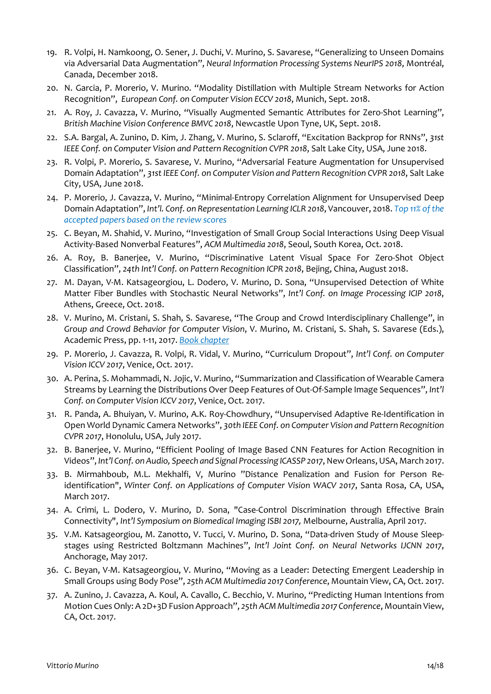- 19. R. Volpi, H. Namkoong, O. Sener, J. Duchi, V. Murino, S. Savarese, "Generalizing to Unseen Domains via Adversarial Data Augmentation", *Neural Information Processing Systems NeurIPS 2018*, Montréal, Canada, December 2018.
- 20. N. Garcia, P. Morerio, V. Murino. "Modality Distillation with Multiple Stream Networks for Action Recognition", *European Conf. on Computer Vision ECCV 2018*, Munich, Sept. 2018.
- 21. A. Roy, J. Cavazza, V. Murino, "Visually Augmented Semantic Attributes for Zero-Shot Learning", *British Machine Vision Conference BMVC 2018*, Newcastle Upon Tyne, UK, Sept. 2018.
- 22. S.A. Bargal, A. Zunino, D. Kim, J. Zhang, V. Murino, S. Sclaroff, "Excitation Backprop for RNNs", *31st IEEE Conf. on Computer Vision and Pattern Recognition CVPR 2018*, Salt Lake City, USA, June 2018.
- 23. R. Volpi, P. Morerio, S. Savarese, V. Murino, "Adversarial Feature Augmentation for Unsupervised Domain Adaptation", *31st IEEE Conf. on Computer Vision and Pattern Recognition CVPR 2018*, Salt Lake City, USA, June 2018.
- 24. P. Morerio, J. Cavazza, V. Murino, "Minimal-Entropy Correlation Alignment for Unsupervised Deep Domain Adaptation", *Int'l. Conf. on Representation Learning ICLR 2018*, Vancouver, 2018. *Top 11% of the accepted papers based on the review scores*
- 25. C. Beyan, M. Shahid, V. Murino, "Investigation of Small Group Social Interactions Using Deep Visual Activity-Based Nonverbal Features", *ACM Multimedia 2018*, Seoul, South Korea, Oct. 2018.
- 26. A. Roy, B. Banerjee, V. Murino, "Discriminative Latent Visual Space For Zero-Shot Object Classification", *24th Int'l Conf. on Pattern Recognition ICPR 2018*, Bejing, China, August 2018.
- 27. M. Dayan, V-M. Katsageorgiou, L. Dodero, V. Murino, D. Sona, "Unsupervised Detection of White Matter Fiber Bundles with Stochastic Neural Networks", *Int'l Conf. on Image Processing ICIP 2018*, Athens, Greece, Oct. 2018.
- 28. V. Murino, M. Cristani, S. Shah, S. Savarese, "The Group and Crowd Interdisciplinary Challenge", in *Group and Crowd Behavior for Computer Vision*, V. Murino, M. Cristani, S. Shah, S. Savarese (Eds.), Academic Press, pp. 1-11, 2017. *Book chapter*
- 29. P. Morerio, J. Cavazza, R. Volpi, R. Vidal, V. Murino, "Curriculum Dropout", *Int'l Conf. on Computer Vision ICCV 2017*, Venice, Oct. 2017.
- 30. A. Perina, S. Mohammadi, N. Jojic, V. Murino, "Summarization and Classification of Wearable Camera Streams by Learning the Distributions Over Deep Features of Out-Of-Sample Image Sequences", *Int'l Conf. on Computer Vision ICCV 2017*, Venice, Oct. 2017.
- 31. R. Panda, A. Bhuiyan, V. Murino, A.K. Roy-Chowdhury, "Unsupervised Adaptive Re-Identification in Open World Dynamic Camera Networks", *30th IEEE Conf. on Computer Vision and Pattern Recognition CVPR 2017*, Honolulu, USA, July 2017.
- 32. B. Banerjee, V. Murino, "Efficient Pooling of Image Based CNN Features for Action Recognition in Videos", *Int'l Conf. on Audio, Speech and Signal Processing ICASSP 2017*, New Orleans, USA, March 2017.
- 33. B. Mirmahboub, M.L. Mekhalfi, V, Murino "Distance Penalization and Fusion for Person Reidentification", *Winter Conf. on Applications of Computer Vision WACV 2017*, Santa Rosa, CA, USA, March 2017.
- 34. A. Crimi, L. Dodero, V. Murino, D. Sona, "Case-Control Discrimination through Effective Brain Connectivity", *Int'l Symposium on Biomedical Imaging ISBI 2017,* Melbourne, Australia, April 2017.
- 35. V.M. Katsageorgiou, M. Zanotto, V. Tucci, V. Murino, D. Sona, "Data-driven Study of Mouse Sleepstages using Restricted Boltzmann Machines", *Int'l Joint Conf. on Neural Networks IJCNN 2017*, Anchorage, May 2017.
- 36. C. Beyan, V-M. Katsageorgiou, V. Murino, "Moving as a Leader: Detecting Emergent Leadership in Small Groups using Body Pose", *25th ACM Multimedia 2017 Conference*, Mountain View, CA, Oct. 2017.
- 37. A. Zunino, J. Cavazza, A. Koul, A. Cavallo, C. Becchio, V. Murino, "Predicting Human Intentions from Motion Cues Only: A 2D+3D Fusion Approach", *25th ACM Multimedia 2017 Conference*, Mountain View, CA, Oct. 2017.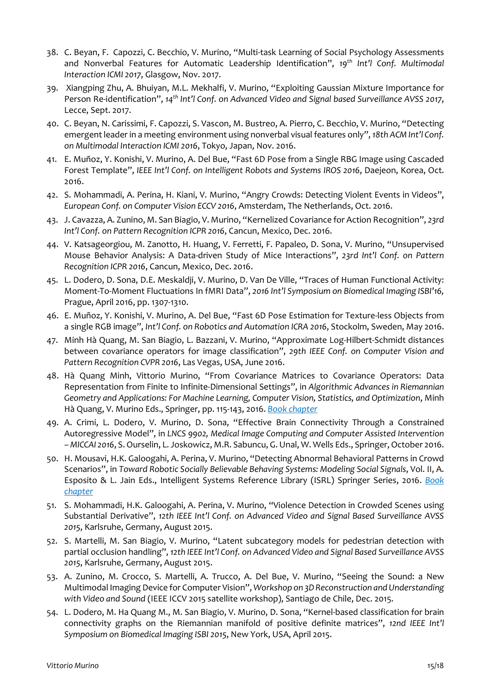- 38. C. Beyan, F. Capozzi, C. Becchio, V. Murino, "Multi-task Learning of Social Psychology Assessments and Nonverbal Features for Automatic Leadership Identification", *19th Int'l Conf. Multimodal Interaction ICMI 2017*, Glasgow, Nov. 2017.
- 39. Xiangping Zhu, A. Bhuiyan, M.L. Mekhalfi, V. Murino, "Exploiting Gaussian Mixture Importance for Person Re-identification", *14th Int'l Conf. on Advanced Video and Signal based Surveillance AVSS 2017*, Lecce, Sept. 2017.
- 40. C. Beyan, N. Carissimi, F. Capozzi, S. Vascon, M. Bustreo, A. Pierro, C. Becchio, V. Murino, "Detecting emergent leader in a meeting environment using nonverbal visual features only", *18th ACM Int'l Conf. on Multimodal Interaction ICMI 2016*, Tokyo, Japan, Nov. 2016.
- 41. E. Muñoz, Y. Konishi, V. Murino, A. Del Bue, "Fast 6D Pose from a Single RBG Image using Cascaded Forest Template", *IEEE Int'l Conf. on Intelligent Robots and Systems IROS 2016*, Daejeon, Korea, Oct. 2016.
- 42. S. Mohammadi, A. Perina, H. Kiani, V. Murino, "Angry Crowds: Detecting Violent Events in Videos", *European Conf. on Computer Vision ECCV 2016*, Amsterdam, The Netherlands, Oct. 2016.
- 43. J. Cavazza, A. Zunino, M. San Biagio, V. Murino, "Kernelized Covariance for Action Recognition", *23rd Int'l Conf. on Pattern Recognition ICPR 2016*, Cancun, Mexico, Dec. 2016.
- 44. V. Katsageorgiou, M. Zanotto, H. Huang, V. Ferretti, F. Papaleo, D. Sona, V. Murino, "Unsupervised Mouse Behavior Analysis: A Data-driven Study of Mice Interactions", *23rd Int'l Conf. on Pattern Recognition ICPR 2016*, Cancun, Mexico, Dec. 2016.
- 45. L. Dodero, D. Sona, D.E. Meskaldji, V. Murino, D. Van De Ville, "Traces of Human Functional Activity: Moment-To-Moment Fluctuations In fMRI Data", *2016 Int'l Symposium on Biomedical Imaging ISBI'16,* Prague, April 2016, pp. 1307-1310.
- 46. E. Muñoz, Y. Konishi, V. Murino, A. Del Bue, "Fast 6D Pose Estimation for Texture-less Objects from a single RGB image", *Int'l Conf. on Robotics and Automation ICRA 2016*, Stockolm, Sweden, May 2016.
- 47. Minh Hà Quang, M. San Biagio, L. Bazzani, V. Murino, "Approximate Log-Hilbert-Schmidt distances between covariance operators for image classification", *29th IEEE Conf. on Computer Vision and Pattern Recognition CVPR 2016*, Las Vegas, USA, June 2016.
- 48. Hà Quang Minh, Vittorio Murino, "From Covariance Matrices to Covariance Operators: Data Representation from Finite to Infinite-Dimensional Settings", in *Algorithmic Advances in Riemannian Geometry and Applications: For Machine Learning, Computer Vision, Statistics, and Optimization*, Minh Hà Quang, V. Murino Eds., Springer, pp. 115-143, 2016. *Book chapter*
- 49. A. Crimi, L. Dodero, V. Murino, D. Sona, "Effective Brain Connectivity Through a Constrained Autoregressive Model", in *LNCS 9902, Medical Image Computing and Computer Assisted Intervention – MICCAI 2016*, S. Ourselin, L. Joskowicz, M.R. Sabuncu, G. Unal, W. Wells Eds., Springer, October 2016.
- 50. H. Mousavi, H.K. Galoogahi, A. Perina, V. Murino, "Detecting Abnormal Behavioral Patterns in Crowd Scenarios", in *Toward Robotic Socially Believable Behaving Systems: Modeling Social Signals*, Vol. II, A. Esposito & L. Jain Eds., Intelligent Systems Reference Library (ISRL) Springer Series, 2016. *Book chapter*
- 51. S. Mohammadi, H.K. Galoogahi, A. Perina, V. Murino, "Violence Detection in Crowded Scenes using Substantial Derivative", *12th IEEE Int'l Conf. on Advanced Video and Signal Based Surveillance AVSS 2015*, Karlsruhe, Germany, August 2015.
- 52. S. Martelli, M. San Biagio, V. Murino, "Latent subcategory models for pedestrian detection with partial occlusion handling", *12th IEEE Int'l Conf. on Advanced Video and Signal Based Surveillance AVSS 2015*, Karlsruhe, Germany, August 2015.
- 53. A. Zunino, M. Crocco, S. Martelli, A. Trucco, A. Del Bue, V. Murino, "Seeing the Sound: a New Multimodal Imaging Device for Computer Vision", *Workshop on 3D Reconstruction and Understanding with Video and Sound* (IEEE ICCV 2015 satellite workshop), Santiago de Chile, Dec. 2015.
- 54. L. Dodero, M. Ha Quang M., M. San Biagio, V. Murino, D. Sona, "Kernel-based classification for brain connectivity graphs on the Riemannian manifold of positive definite matrices", *12nd IEEE Int'l Symposium on Biomedical Imaging ISBI 2015*, New York, USA, April 2015.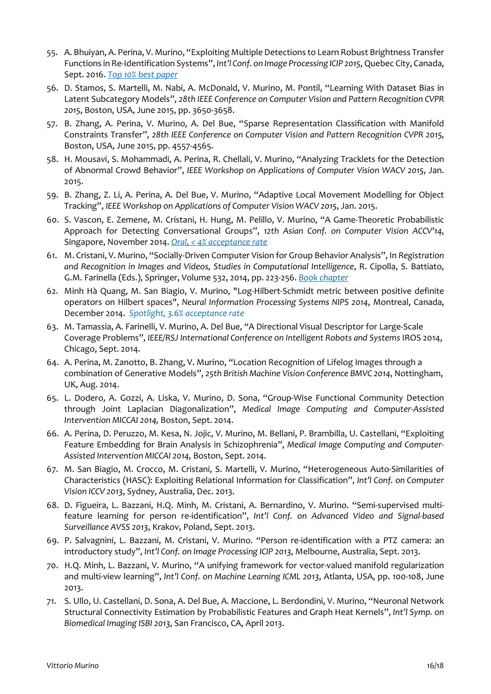- 55. A. Bhuiyan, A. Perina, V. Murino, "Exploiting Multiple Detections to Learn Robust Brightness Transfer Functions in Re-Identification Systems", *Int'l Conf. on Image Processing ICIP 2015*, Quebec City, Canada, Sept. 2016. *Top 10% best paper*
- 56. D. Stamos, S. Martelli, M. Nabi, A. McDonald, V. Murino, M. Pontil, "Learning With Dataset Bias in Latent Subcategory Models", *28th IEEE Conference on Computer Vision and Pattern Recognition CVPR 2015*, Boston, USA, June 2015, pp. 3650-3658.
- 57. B. Zhang, A. Perina, V. Murino, A. Del Bue, "Sparse Representation Classification with Manifold Constraints Transfer", *28th IEEE Conference on Computer Vision and Pattern Recognition CVPR 2015*, Boston, USA, June 2015, pp. 4557-4565.
- 58. H. Mousavi, S. Mohammadi, A. Perina, R. Chellali, V. Murino, "Analyzing Tracklets for the Detection of Abnormal Crowd Behavior", *IEEE Workshop on Applications of Computer Vision WACV 2015*, Jan. 2015.
- 59. B. Zhang, Z. Li, A. Perina, A. Del Bue, V. Murino, "Adaptive Local Movement Modelling for Object Tracking", *IEEE Workshop on Applications of Computer Vision WACV 2015*, Jan. 2015.
- 60. S. Vascon, E. Zemene, M. Cristani, H. Hung, M. Pelillo, V. Murino, "A Game-Theoretic Probabilistic Approach for Detecting Conversational Groups", *12th Asian Conf. on Computer Vision ACCV'14*, Singapore, November 2014. *Oral, < 4% acceptance rate*
- 61. M. Cristani, V. Murino, "Socially-Driven Computer Vision for Group Behavior Analysis", In *Registration and Recognition in Images and Videos, Studies in Computational Intelligence*, R. Cipolla, S. Battiato, G.M. Farinella (Eds.), Springer, Volume 532, 2014, pp. 223-256. *Book chapter*
- 62. Minh Hà Quang, M. San Biagio, V. Murino, "Log-Hilbert-Schmidt metric between positive definite operators on Hilbert spaces", *Neural Information Processing Systems NIPS 2014*, Montreal, Canada, December 2014. *Spotlight, 3.6% acceptance rate*
- 63. M. Tamassia, A. Farinelli, V. Murino, A. Del Bue, "A Directional Visual Descriptor for Large-Scale Coverage Problems", *IEEE/RSJ International Conference on Intelligent Robots and Systems* IROS 2014, Chicago, Sept. 2014.
- 64. A. Perina, M. Zanotto, B. Zhang, V. Murino, "Location Recognition of Lifelog Images through a combination of Generative Models", *25th British Machine Vision Conference BMVC 2014*, Nottingham, UK, Aug. 2014.
- 65. L. Dodero, A. Gozzi, A. Liska, V. Murino, D. Sona, "Group-Wise Functional Community Detection through Joint Laplacian Diagonalization", *Medical Image Computing and Computer-Assisted Intervention MICCAI 2014,* Boston, Sept. 2014.
- 66. A. Perina, D. Peruzzo, M. Kesa, N. Jojic, V. Murino, M. Bellani, P. Brambilla, U. Castellani, "Exploiting Feature Embedding for Brain Analysis in Schizophrenia", *Medical Image Computing and Computer-Assisted Intervention MICCAI 2014,* Boston, Sept. 2014.
- 67. M. San Biagio, M. Crocco, M. Cristani, S. Martelli, V. Murino, "Heterogeneous Auto-Similarities of Characteristics (HASC): Exploiting Relational Information for Classification", *Int'l Conf. on Computer Vision ICCV 2013*, Sydney, Australia, Dec. 2013.
- 68. D. Figueira, L. Bazzani, H.Q. Minh, M. Cristani, A. Bernardino, V. Murino. "Semi-supervised multifeature learning for person re-identification", *Int'l Conf. on Advanced Video and Signal-based Surveillance AVSS 2013*, Krakov, Poland, Sept. 2013.
- 69. P. Salvagnini, L. Bazzani, M. Cristani, V. Murino. "Person re-identification with a PTZ camera: an introductory study", *Int'l Conf. on Image Processing ICIP 2013*, Melbourne, Australia, Sept. 2013.
- 70. H.Q. Minh, L. Bazzani, V. Murino, "A unifying framework for vector-valued manifold regularization and multi-view learning", *Int'l Conf. on Machine Learning ICML 2013*, Atlanta, USA, pp. 100-108, June 2013.
- 71. S. Ullo, U. Castellani, D. Sona, A. Del Bue, A. Maccione, L. Berdondini, V. Murino, "Neuronal Network Structural Connectivity Estimation by Probabilistic Features and Graph Heat Kernels", *Int'l Symp. on Biomedical Imaging ISBI 2013*, San Francisco, CA, April 2013.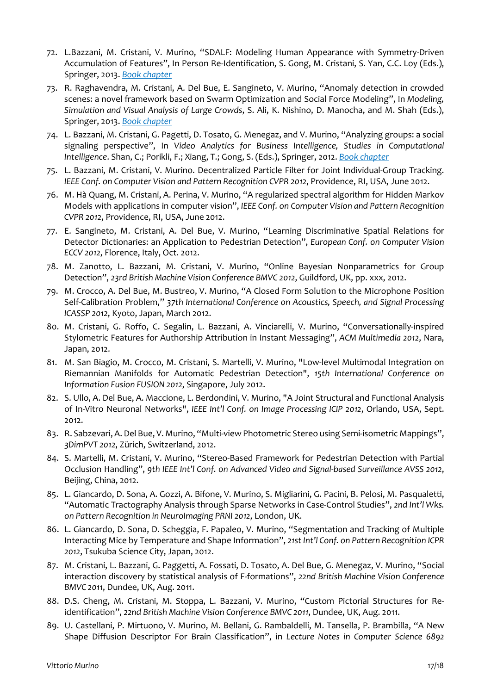- 72. L.Bazzani, M. Cristani, V. Murino, "SDALF: Modeling Human Appearance with Symmetry-Driven Accumulation of Features", In Person Re-Identification, S. Gong, M. Cristani, S. Yan, C.C. Loy (Eds.), Springer, 2013. *Book chapter*
- 73. R. Raghavendra, M. Cristani, A. Del Bue, E. Sangineto, V. Murino, "Anomaly detection in crowded scenes: a novel framework based on Swarm Optimization and Social Force Modeling", In *Modeling, Simulation and Visual Analysis of Large Crowds*, S. Ali, K. Nishino, D. Manocha, and M. Shah (Eds.), Springer, 2013. *Book chapter*
- 74. L. Bazzani, M. Cristani, G. Pagetti, D. Tosato, G. Menegaz, and V. Murino, "Analyzing groups: a social signaling perspective", In *Video Analytics for Business Intelligence, Studies in Computational Intelligence*. Shan, C.; Porikli, F.; Xiang, T.; Gong, S. (Eds.), Springer, 2012. *Book chapter*
- 75. L. Bazzani, M. Cristani, V. Murino. Decentralized Particle Filter for Joint Individual-Group Tracking. *IEEE Conf. on Computer Vision and Pattern Recognition CVPR 2012*, Providence, RI, USA, June 2012.
- 76. M. Hà Quang, M. Cristani, A. Perina, V. Murino, "A regularized spectral algorithm for Hidden Markov Models with applications in computer vision", *IEEE Conf. on Computer Vision and Pattern Recognition CVPR 2012*, Providence, RI, USA, June 2012.
- 77. E. Sangineto, M. Cristani, A. Del Bue, V. Murino, "Learning Discriminative Spatial Relations for Detector Dictionaries: an Application to Pedestrian Detection", *European Conf. on Computer Vision ECCV 2012*, Florence, Italy, Oct. 2012.
- 78. M. Zanotto, L. Bazzani, M. Cristani, V. Murino, "Online Bayesian Nonparametrics for Group Detection", *23rd British Machine Vision Conference BMVC 2012*, Guildford, UK, pp. xxx, 2012.
- 79. M. Crocco, A. Del Bue, M. Bustreo, V. Murino, "A Closed Form Solution to the Microphone Position Self-Calibration Problem," *37th International Conference on Acoustics, Speech, and Signal Processing ICASSP 2012*, Kyoto, Japan, March 2012.
- 80. M. Cristani, G. Roffo, C. Segalin, L. Bazzani, A. Vinciarelli, V. Murino, "Conversationally-inspired Stylometric Features for Authorship Attribution in Instant Messaging", *ACM Multimedia 2012*, Nara, Japan, 2012.
- 81. M. San Biagio, M. Crocco, M. Cristani, S. Martelli, V. Murino, "Low-level Multimodal Integration on Riemannian Manifolds for Automatic Pedestrian Detection", *15th International Conference on Information Fusion FUSION 2012*, Singapore, July 2012.
- 82. S. Ullo, A. Del Bue, A. Maccione, L. Berdondini, V. Murino, "A Joint Structural and Functional Analysis of In-Vitro Neuronal Networks", *IEEE Int'l Conf. on Image Processing ICIP 2012*, Orlando, USA, Sept. 2012.
- 83. R. Sabzevari, A. Del Bue, V. Murino, "Multi-view Photometric Stereo using Semi-isometric Mappings", *3DimPVT 2012*, Zürich, Switzerland, 2012.
- 84. S. Martelli, M. Cristani, V. Murino, "Stereo-Based Framework for Pedestrian Detection with Partial Occlusion Handling", *9th IEEE Int'l Conf. on Advanced Video and Signal-based Surveillance AVSS 2012*, Beijing, China, 2012.
- 85. L. Giancardo, D. Sona, A. Gozzi, A. Bifone, V. Murino, S. Migliarini, G. Pacini, B. Pelosi, M. Pasqualetti, "Automatic Tractography Analysis through Sparse Networks in Case-Control Studies", *2nd Int'l Wks. on Pattern Recognition in NeuroImaging PRNI 2012*, London, UK.
- 86. L. Giancardo, D. Sona, D. Scheggia, F. Papaleo, V. Murino, "Segmentation and Tracking of Multiple Interacting Mice by Temperature and Shape Information", *21st Int'l Conf. on Pattern Recognition ICPR 2012*, Tsukuba Science City, Japan, 2012.
- 87. M. Cristani, L. Bazzani, G. Paggetti, A. Fossati, D. Tosato, A. Del Bue, G. Menegaz, V. Murino, "Social interaction discovery by statistical analysis of F-formations", *22nd British Machine Vision Conference BMVC 2011*, Dundee, UK, Aug. 2011.
- 88. D.S. Cheng, M. Cristani, M. Stoppa, L. Bazzani, V. Murino, "Custom Pictorial Structures for Reidentification", *22nd British Machine Vision Conference BMVC 2011*, Dundee, UK, Aug. 2011.
- 89. U. Castellani, P. Mirtuono, V. Murino, M. Bellani, G. Rambaldelli, M. Tansella, P. Brambilla, "A New Shape Diffusion Descriptor For Brain Classification", in *Lecture Notes in Computer Science 6892*